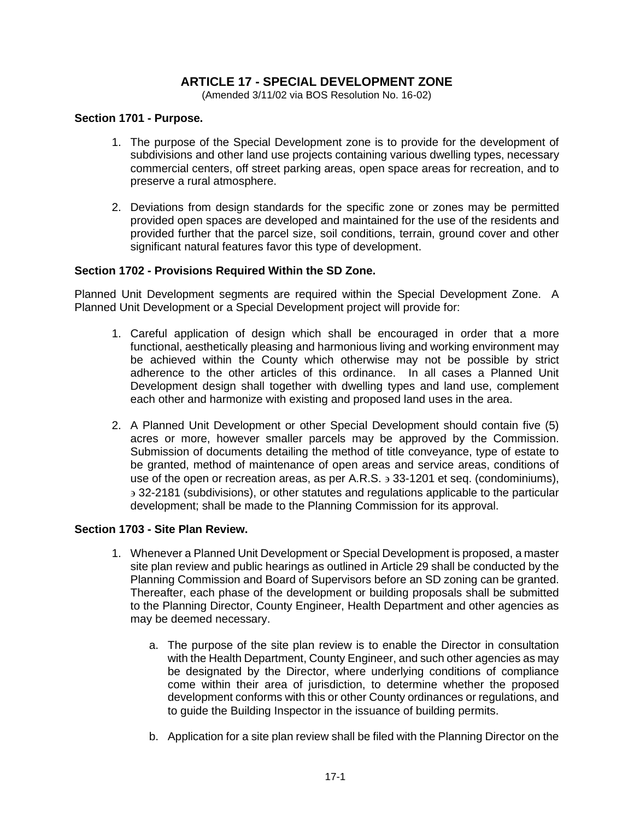# **ARTICLE 17 - SPECIAL DEVELOPMENT ZONE**

(Amended 3/11/02 via BOS Resolution No. 16-02)

#### **Section 1701 - Purpose.**

- 1. The purpose of the Special Development zone is to provide for the development of subdivisions and other land use projects containing various dwelling types, necessary commercial centers, off street parking areas, open space areas for recreation, and to preserve a rural atmosphere.
- 2. Deviations from design standards for the specific zone or zones may be permitted provided open spaces are developed and maintained for the use of the residents and provided further that the parcel size, soil conditions, terrain, ground cover and other significant natural features favor this type of development.

#### **Section 1702 - Provisions Required Within the SD Zone.**

Planned Unit Development segments are required within the Special Development Zone. A Planned Unit Development or a Special Development project will provide for:

- 1. Careful application of design which shall be encouraged in order that a more functional, aesthetically pleasing and harmonious living and working environment may be achieved within the County which otherwise may not be possible by strict adherence to the other articles of this ordinance. In all cases a Planned Unit Development design shall together with dwelling types and land use, complement each other and harmonize with existing and proposed land uses in the area.
- 2. A Planned Unit Development or other Special Development should contain five (5) acres or more, however smaller parcels may be approved by the Commission. Submission of documents detailing the method of title conveyance, type of estate to be granted, method of maintenance of open areas and service areas, conditions of use of the open or recreation areas, as per A.R.S.  $\frac{1}{2}$  33-1201 et seg. (condominiums), 32-2181 (subdivisions), or other statutes and regulations applicable to the particular development; shall be made to the Planning Commission for its approval.

#### **Section 1703 - Site Plan Review.**

- 1. Whenever a Planned Unit Development or Special Development is proposed, a master site plan review and public hearings as outlined in Article 29 shall be conducted by the Planning Commission and Board of Supervisors before an SD zoning can be granted. Thereafter, each phase of the development or building proposals shall be submitted to the Planning Director, County Engineer, Health Department and other agencies as may be deemed necessary.
	- a. The purpose of the site plan review is to enable the Director in consultation with the Health Department, County Engineer, and such other agencies as may be designated by the Director, where underlying conditions of compliance come within their area of jurisdiction, to determine whether the proposed development conforms with this or other County ordinances or regulations, and to guide the Building Inspector in the issuance of building permits.
	- b. Application for a site plan review shall be filed with the Planning Director on the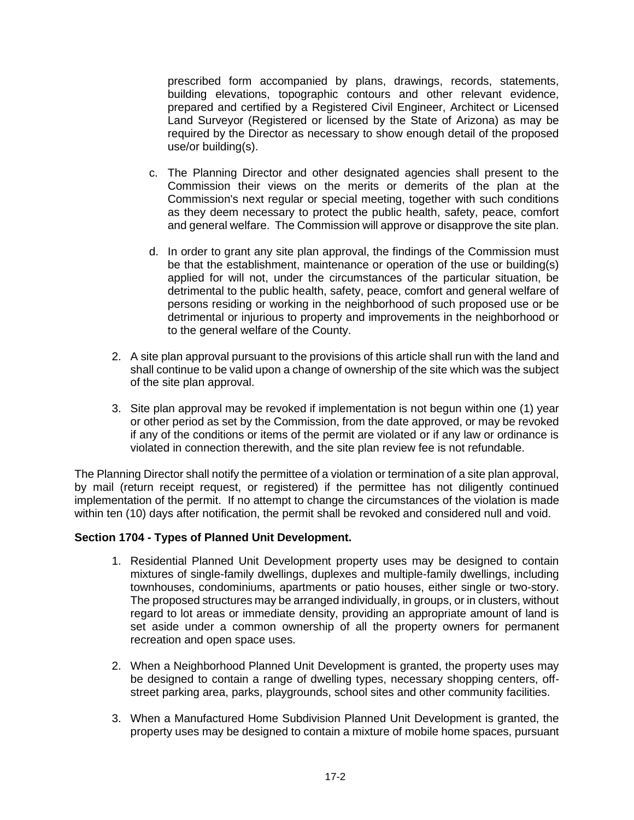prescribed form accompanied by plans, drawings, records, statements, building elevations, topographic contours and other relevant evidence, prepared and certified by a Registered Civil Engineer, Architect or Licensed Land Surveyor (Registered or licensed by the State of Arizona) as may be required by the Director as necessary to show enough detail of the proposed use/or building(s).

- c. The Planning Director and other designated agencies shall present to the Commission their views on the merits or demerits of the plan at the Commission's next regular or special meeting, together with such conditions as they deem necessary to protect the public health, safety, peace, comfort and general welfare. The Commission will approve or disapprove the site plan.
- d. In order to grant any site plan approval, the findings of the Commission must be that the establishment, maintenance or operation of the use or building(s) applied for will not, under the circumstances of the particular situation, be detrimental to the public health, safety, peace, comfort and general welfare of persons residing or working in the neighborhood of such proposed use or be detrimental or injurious to property and improvements in the neighborhood or to the general welfare of the County.
- 2. A site plan approval pursuant to the provisions of this article shall run with the land and shall continue to be valid upon a change of ownership of the site which was the subject of the site plan approval.
- 3. Site plan approval may be revoked if implementation is not begun within one (1) year or other period as set by the Commission, from the date approved, or may be revoked if any of the conditions or items of the permit are violated or if any law or ordinance is violated in connection therewith, and the site plan review fee is not refundable.

The Planning Director shall notify the permittee of a violation or termination of a site plan approval, by mail (return receipt request, or registered) if the permittee has not diligently continued implementation of the permit. If no attempt to change the circumstances of the violation is made within ten (10) days after notification, the permit shall be revoked and considered null and void.

## **Section 1704 - Types of Planned Unit Development.**

- 1. Residential Planned Unit Development property uses may be designed to contain mixtures of single-family dwellings, duplexes and multiple-family dwellings, including townhouses, condominiums, apartments or patio houses, either single or two-story. The proposed structures may be arranged individually, in groups, or in clusters, without regard to lot areas or immediate density, providing an appropriate amount of land is set aside under a common ownership of all the property owners for permanent recreation and open space uses.
- 2. When a Neighborhood Planned Unit Development is granted, the property uses may be designed to contain a range of dwelling types, necessary shopping centers, offstreet parking area, parks, playgrounds, school sites and other community facilities.
- 3. When a Manufactured Home Subdivision Planned Unit Development is granted, the property uses may be designed to contain a mixture of mobile home spaces, pursuant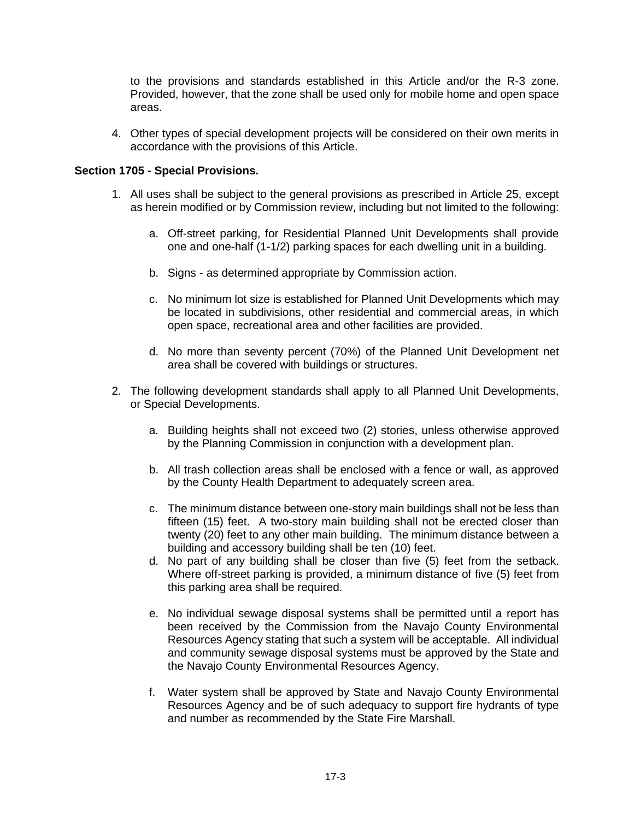to the provisions and standards established in this Article and/or the R-3 zone. Provided, however, that the zone shall be used only for mobile home and open space areas.

4. Other types of special development projects will be considered on their own merits in accordance with the provisions of this Article.

### **Section 1705 - Special Provisions.**

- 1. All uses shall be subject to the general provisions as prescribed in Article 25, except as herein modified or by Commission review, including but not limited to the following:
	- a. Off-street parking, for Residential Planned Unit Developments shall provide one and one-half (1-1/2) parking spaces for each dwelling unit in a building.
	- b. Signs as determined appropriate by Commission action.
	- c. No minimum lot size is established for Planned Unit Developments which may be located in subdivisions, other residential and commercial areas, in which open space, recreational area and other facilities are provided.
	- d. No more than seventy percent (70%) of the Planned Unit Development net area shall be covered with buildings or structures.
- 2. The following development standards shall apply to all Planned Unit Developments, or Special Developments.
	- a. Building heights shall not exceed two (2) stories, unless otherwise approved by the Planning Commission in conjunction with a development plan.
	- b. All trash collection areas shall be enclosed with a fence or wall, as approved by the County Health Department to adequately screen area.
	- c. The minimum distance between one-story main buildings shall not be less than fifteen (15) feet. A two-story main building shall not be erected closer than twenty (20) feet to any other main building. The minimum distance between a building and accessory building shall be ten (10) feet.
	- d. No part of any building shall be closer than five (5) feet from the setback. Where off-street parking is provided, a minimum distance of five (5) feet from this parking area shall be required.
	- e. No individual sewage disposal systems shall be permitted until a report has been received by the Commission from the Navajo County Environmental Resources Agency stating that such a system will be acceptable. All individual and community sewage disposal systems must be approved by the State and the Navajo County Environmental Resources Agency.
	- f. Water system shall be approved by State and Navajo County Environmental Resources Agency and be of such adequacy to support fire hydrants of type and number as recommended by the State Fire Marshall.